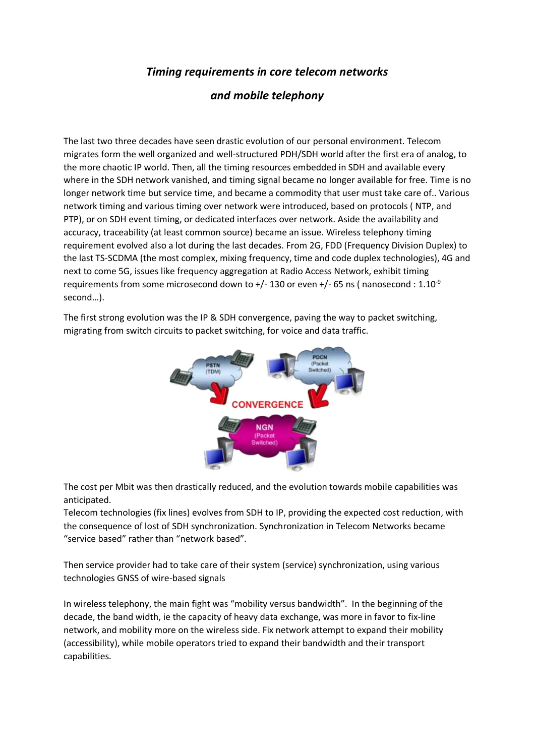## *Timing requirements in core telecom networks*

## *and mobile telephony*

The last two three decades have seen drastic evolution of our personal environment. Telecom migrates form the well organized and well-structured PDH/SDH world after the first era of analog, to the more chaotic IP world. Then, all the timing resources embedded in SDH and available every where in the SDH network vanished, and timing signal became no longer available for free. Time is no longer network time but service time, and became a commodity that user must take care of.. Various network timing and various timing over network were introduced, based on protocols ( NTP, and PTP), or on SDH event timing, or dedicated interfaces over network. Aside the availability and accuracy, traceability (at least common source) became an issue. Wireless telephony timing requirement evolved also a lot during the last decades. From 2G, FDD (Frequency Division Duplex) to the last TS-SCDMA (the most complex, mixing frequency, time and code duplex technologies), 4G and next to come 5G, issues like frequency aggregation at Radio Access Network, exhibit timing requirements from some microsecond down to  $+/-130$  or even  $+/-65$  ns ( nanosecond : 1.10<sup>-9</sup> second…).

The first strong evolution was the IP & SDH convergence, paving the way to packet switching, migrating from switch circuits to packet switching, for voice and data traffic.



The cost per Mbit was then drastically reduced, and the evolution towards mobile capabilities was anticipated.

Telecom technologies (fix lines) evolves from SDH to IP, providing the expected cost reduction, with the consequence of lost of SDH synchronization. Synchronization in Telecom Networks became "service based" rather than "network based".

Then service provider had to take care of their system (service) synchronization, using various technologies GNSS of wire-based signals

In wireless telephony, the main fight was "mobility versus bandwidth". In the beginning of the decade, the band width, ie the capacity of heavy data exchange, was more in favor to fix-line network, and mobility more on the wireless side. Fix network attempt to expand their mobility (accessibility), while mobile operators tried to expand their bandwidth and their transport capabilities.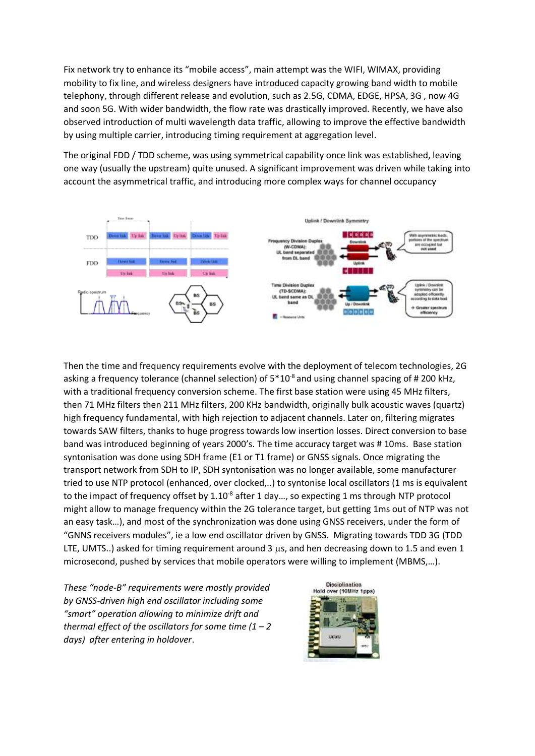Fix network try to enhance its "mobile access", main attempt was the WIFI, WIMAX, providing mobility to fix line, and wireless designers have introduced capacity growing band width to mobile telephony, through different release and evolution, such as 2.5G, CDMA, EDGE, HPSA, 3G , now 4G and soon 5G. With wider bandwidth, the flow rate was drastically improved. Recently, we have also observed introduction of multi wavelength data traffic, allowing to improve the effective bandwidth by using multiple carrier, introducing timing requirement at aggregation level.

The original FDD / TDD scheme, was using symmetrical capability once link was established, leaving one way (usually the upstream) quite unused. A significant improvement was driven while taking into account the asymmetrical traffic, and introducing more complex ways for channel occupancy



Then the time and frequency requirements evolve with the deployment of telecom technologies, 2G asking a frequency tolerance (channel selection) of  $5*10<sup>-8</sup>$  and using channel spacing of #200 kHz, with a traditional frequency conversion scheme. The first base station were using 45 MHz filters, then 71 MHz filters then 211 MHz filters, 200 KHz bandwidth, originally bulk acoustic waves (quartz) high frequency fundamental, with high rejection to adjacent channels. Later on, filtering migrates towards SAW filters, thanks to huge progress towards low insertion losses. Direct conversion to base band was introduced beginning of years 2000's. The time accuracy target was # 10ms. Base station syntonisation was done using SDH frame (E1 or T1 frame) or GNSS signals. Once migrating the transport network from SDH to IP, SDH syntonisation was no longer available, some manufacturer tried to use NTP protocol (enhanced, over clocked,..) to syntonise local oscillators (1 ms is equivalent to the impact of frequency offset by  $1.10^{-8}$  after 1 day..., so expecting 1 ms through NTP protocol might allow to manage frequency within the 2G tolerance target, but getting 1ms out of NTP was not an easy task…), and most of the synchronization was done using GNSS receivers, under the form of "GNNS receivers modules", ie a low end oscillator driven by GNSS. Migrating towards TDD 3G (TDD LTE, UMTS..) asked for timing requirement around 3 us, and hen decreasing down to 1.5 and even 1 microsecond, pushed by services that mobile operators were willing to implement (MBMS,…).

*These "node-B" requirements were mostly provided by GNSS-driven high end oscillator including some "smart" operation allowing to minimize drift and thermal effect of the oscillators for some time (1 – 2 days) after entering in holdover*.

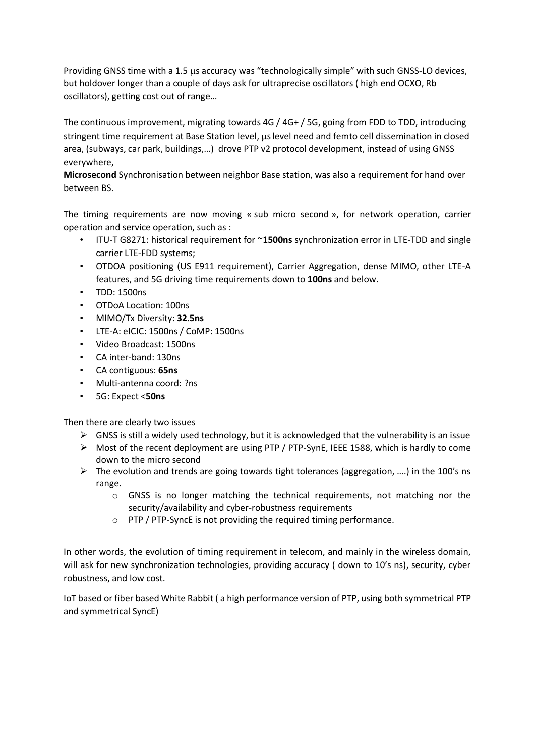Providing GNSS time with a 1.5 us accuracy was "technologically simple" with such GNSS-LO devices, but holdover longer than a couple of days ask for ultraprecise oscillators ( high end OCXO, Rb oscillators), getting cost out of range…

The continuous improvement, migrating towards 4G / 4G+ / 5G, going from FDD to TDD, introducing stringent time requirement at Base Station level, us level need and femto cell dissemination in closed area, (subways, car park, buildings,…) drove PTP v2 protocol development, instead of using GNSS everywhere,

**Microsecond** Synchronisation between neighbor Base station, was also a requirement for hand over between BS.

The timing requirements are now moving « sub micro second », for network operation, carrier operation and service operation, such as :

- ITU-T G8271: historical requirement for ~**1500ns** synchronization error in LTE-TDD and single carrier LTE-FDD systems;
- OTDOA positioning (US E911 requirement), Carrier Aggregation, dense MIMO, other LTE-A features, and 5G driving time requirements down to **100ns** and below.
- TDD: 1500ns
- OTDoA Location: 100ns
- MIMO/Tx Diversity: **32.5ns**
- LTE-A: eICIC: 1500ns / CoMP: 1500ns
- Video Broadcast: 1500ns
- CA inter-band: 130ns
- CA contiguous: **65ns**
- Multi-antenna coord: ?ns
- 5G: Expect <**50ns**

Then there are clearly two issues

- $\triangleright$  GNSS is still a widely used technology, but it is acknowledged that the vulnerability is an issue
- ➢ Most of the recent deployment are using PTP / PTP-SynE, IEEE 1588, which is hardly to come down to the micro second
- $\triangleright$  The evolution and trends are going towards tight tolerances (aggregation, ....) in the 100's ns range.
	- $\circ$  GNSS is no longer matching the technical requirements, not matching nor the security/availability and cyber-robustness requirements
	- o PTP / PTP-SyncE is not providing the required timing performance.

In other words, the evolution of timing requirement in telecom, and mainly in the wireless domain, will ask for new synchronization technologies, providing accuracy ( down to 10's ns), security, cyber robustness, and low cost.

IoT based or fiber based White Rabbit ( a high performance version of PTP, using both symmetrical PTP and symmetrical SyncE)